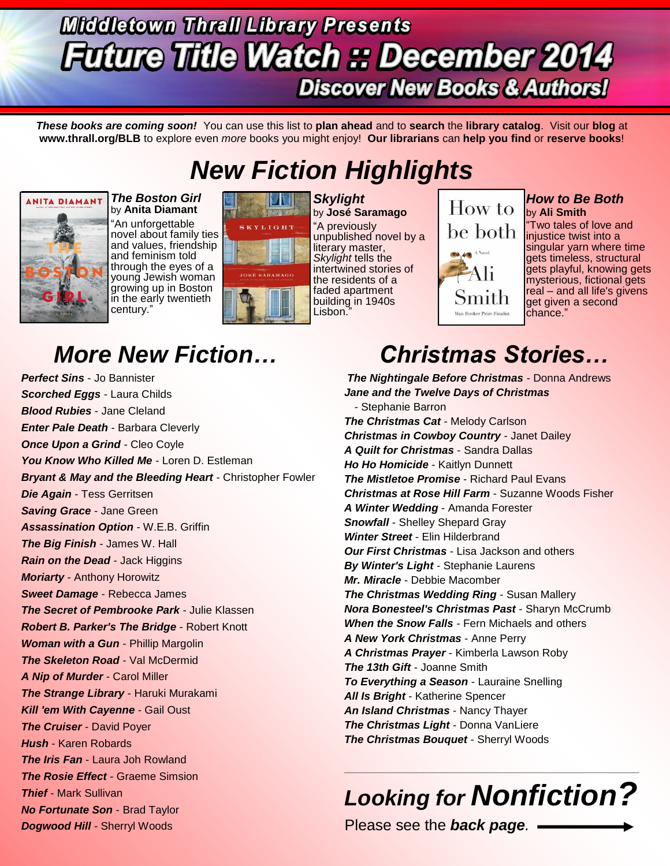## **Middletown Thrall Library Presents Future Title Watch :: December 2014 Discover New Books & Authors!**

*These books are coming soon!* You can use this list to **plan ahead** and to **search** the **library catalog**. Visit our **blog** at **www.thrall.org/BLB** to explore even *more* books you might enjoy! **Our librarians** can **help you find** or **reserve books**!

## *New Fiction Highlights*



*The Boston Girl*  by **Anita Diamant** "An unforgettable novel about family ties and values, friendship and feminism told through the eyes of a young Jewish woman growing up in Boston in the early twentieth century."



*Skylight* by **José Saramago** "A previously unpublished novel by a literary master, *Skylight* tells the intertwined stories of the residents of a faded apartment building in 1940s Lisbon."

### How to be both. A Novel Smith .<br>Man Booker Prize Finalist

#### *How to Be Both* by **Ali Smith**

"Two tales of love and injustice twist into a singular yarn where time gets timeless, structural gets playful, knowing gets mysterious, fictional gets real – and all life's givens get given a second chance."

*Perfect Sins* - Jo Bannister *Scorched Eggs* - Laura Childs *Blood Rubies* - Jane Cleland *Enter Pale Death* - Barbara Cleverly *Once Upon a Grind* - Cleo Coyle *You Know Who Killed Me* - Loren D. Estleman *Bryant & May and the Bleeding Heart* - Christopher Fowler *Die Again* - Tess Gerritsen *Saving Grace* - Jane Green *Assassination Option* - W.E.B. Griffin *The Big Finish* - James W. Hall *Rain on the Dead* - Jack Higgins *Moriarty* - Anthony Horowitz *Sweet Damage* - Rebecca James *The Secret of Pembrooke Park* - Julie Klassen *Robert B. Parker's The Bridge* - Robert Knott *Woman with a Gun* - Phillip Margolin *The Skeleton Road* - Val McDermid *A Nip of Murder* - Carol Miller *The Strange Library* - Haruki Murakami *Kill 'em With Cayenne* - Gail Oust *The Cruiser* - David Poyer *Hush* - Karen Robards *The Iris Fan* - Laura Joh Rowland *The Rosie Effect* - Graeme Simsion *Thief* - Mark Sullivan *No Fortunate Son* - Brad Taylor *Dogwood Hill* - Sherryl Woods

## *More New Fiction… Christmas Stories…*

*The Nightingale Before Christmas* - Donna Andrews *Jane and the Twelve Days of Christmas* - Stephanie Barron *The Christmas Cat* - Melody Carlson *Christmas in Cowboy Country* - Janet Dailey *A Quilt for Christmas* - Sandra Dallas *Ho Ho Homicide* - Kaitlyn Dunnett *The Mistletoe Promise* - Richard Paul Evans *Christmas at Rose Hill Farm* - Suzanne Woods Fisher *A Winter Wedding* - Amanda Forester *Snowfall* - Shelley Shepard Gray *Winter Street* - Elin Hilderbrand *Our First Christmas* - Lisa Jackson and others *By Winter's Light* - Stephanie Laurens *Mr. Miracle* - Debbie Macomber *The Christmas Wedding Ring* - Susan Mallery *Nora Bonesteel's Christmas Past* - Sharyn McCrumb *When the Snow Falls* - Fern Michaels and others *A New York Christmas* - Anne Perry *A Christmas Prayer* - Kimberla Lawson Roby *The 13th Gift* - Joanne Smith *To Everything a Season* - Lauraine Snelling *All Is Bright* - Katherine Spencer *An Island Christmas* - Nancy Thayer *The Christmas Light* - Donna VanLiere *The Christmas Bouquet* - Sherryl Woods

## *Looking for Nonfiction?*

\_\_\_\_\_\_\_\_\_\_\_\_\_\_\_\_\_\_\_\_\_\_\_\_\_\_\_\_\_\_\_\_\_\_\_\_\_\_\_\_\_\_\_\_\_\_\_\_\_\_\_\_\_\_\_\_\_\_\_\_\_\_\_\_\_\_\_\_\_\_\_\_\_\_\_\_\_\_\_\_\_\_\_\_\_\_\_\_\_\_\_\_\_\_\_\_\_

Please see the *back page.*